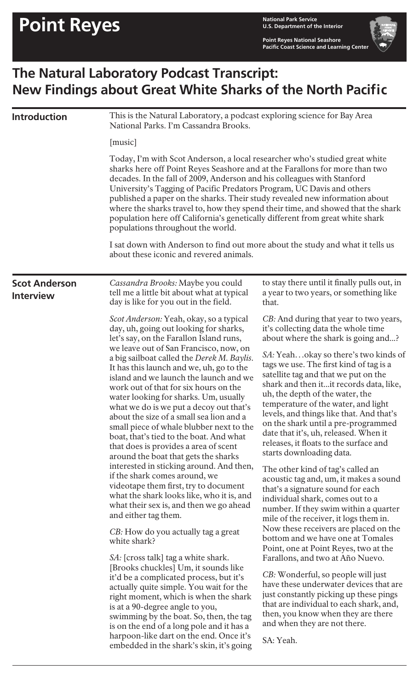**U.S. Department of the Interior**

**Point Reyes National Seashore Pacific Coast Science and Learning Center**

## **The Natural Laboratory Podcast Transcript: New Findings about Great White Sharks of the North Pacific**

| <b>Introduction</b> | This is the Natural Laboratory, a podcast exploring science for Bay Area<br>National Parks. I'm Cassandra Brooks.<br>[music]<br>Today, I'm with Scot Anderson, a local researcher who's studied great white<br>sharks here off Point Reyes Seashore and at the Farallons for more than two<br>decades. In the fall of 2009, Anderson and his colleagues with Stanford<br>University's Tagging of Pacific Predators Program, UC Davis and others<br>published a paper on the sharks. Their study revealed new information about<br>where the sharks travel to, how they spend their time, and showed that the shark<br>population here off California's genetically different from great white shark<br>populations throughout the world.<br>I sat down with Anderson to find out more about the study and what it tells us<br>about these iconic and revered animals. |  |  |                                          |                                                                                                                                                                                                                                                                                                                                                                                                                                                                                                                                                                                                                                                                                                                                                                                                                                                                                                                                                                                                                                                                                                                                                                                                                                                                                                           |                                                                                                                                                                                                                                                                                                                                                                                                                                                                                                                                                                                                                                                                                                                                                                                                                                                                                                                                                                                                                                                                                                                                                                                                                          |
|---------------------|-----------------------------------------------------------------------------------------------------------------------------------------------------------------------------------------------------------------------------------------------------------------------------------------------------------------------------------------------------------------------------------------------------------------------------------------------------------------------------------------------------------------------------------------------------------------------------------------------------------------------------------------------------------------------------------------------------------------------------------------------------------------------------------------------------------------------------------------------------------------------|--|--|------------------------------------------|-----------------------------------------------------------------------------------------------------------------------------------------------------------------------------------------------------------------------------------------------------------------------------------------------------------------------------------------------------------------------------------------------------------------------------------------------------------------------------------------------------------------------------------------------------------------------------------------------------------------------------------------------------------------------------------------------------------------------------------------------------------------------------------------------------------------------------------------------------------------------------------------------------------------------------------------------------------------------------------------------------------------------------------------------------------------------------------------------------------------------------------------------------------------------------------------------------------------------------------------------------------------------------------------------------------|--------------------------------------------------------------------------------------------------------------------------------------------------------------------------------------------------------------------------------------------------------------------------------------------------------------------------------------------------------------------------------------------------------------------------------------------------------------------------------------------------------------------------------------------------------------------------------------------------------------------------------------------------------------------------------------------------------------------------------------------------------------------------------------------------------------------------------------------------------------------------------------------------------------------------------------------------------------------------------------------------------------------------------------------------------------------------------------------------------------------------------------------------------------------------------------------------------------------------|
|                     |                                                                                                                                                                                                                                                                                                                                                                                                                                                                                                                                                                                                                                                                                                                                                                                                                                                                       |  |  | <b>Scot Anderson</b><br><b>Interview</b> | Cassandra Brooks: Maybe you could<br>tell me a little bit about what at typical<br>day is like for you out in the field.                                                                                                                                                                                                                                                                                                                                                                                                                                                                                                                                                                                                                                                                                                                                                                                                                                                                                                                                                                                                                                                                                                                                                                                  | to stay there until it finally pulls out, in<br>a year to two years, or something like<br>that.                                                                                                                                                                                                                                                                                                                                                                                                                                                                                                                                                                                                                                                                                                                                                                                                                                                                                                                                                                                                                                                                                                                          |
|                     |                                                                                                                                                                                                                                                                                                                                                                                                                                                                                                                                                                                                                                                                                                                                                                                                                                                                       |  |  |                                          | Scot Anderson: Yeah, okay, so a typical<br>day, uh, going out looking for sharks,<br>let's say, on the Farallon Island runs,<br>we leave out of San Francisco, now, on<br>a big sailboat called the Derek M. Baylis.<br>It has this launch and we, uh, go to the<br>island and we launch the launch and we<br>work out of that for six hours on the<br>water looking for sharks. Um, usually<br>what we do is we put a decoy out that's<br>about the size of a small sea lion and a<br>small piece of whale blubber next to the<br>boat, that's tied to the boat. And what<br>that does is provides a area of scent<br>around the boat that gets the sharks<br>interested in sticking around. And then,<br>if the shark comes around, we<br>videotape them first, try to document<br>what the shark looks like, who it is, and<br>what their sex is, and then we go ahead<br>and either tag them.<br><i>CB</i> : How do you actually tag a great<br>white shark?<br>SA: [cross talk] tag a white shark.<br>[Brooks chuckles] Um, it sounds like<br>it'd be a complicated process, but it's<br>actually quite simple. You wait for the<br>right moment, which is when the shark<br>is at a 90-degree angle to you,<br>swimming by the boat. So, then, the tag<br>is on the end of a long pole and it has a | CB: And during that year to two years,<br>it's collecting data the whole time<br>about where the shark is going and?<br>SA: Yeahokay so there's two kinds of<br>tags we use. The first kind of tag is a<br>satellite tag and that we put on the<br>shark and then it it records data, like,<br>uh, the depth of the water, the<br>temperature of the water, and light<br>levels, and things like that. And that's<br>on the shark until a pre-programmed<br>date that it's, uh, released. When it<br>releases, it floats to the surface and<br>starts downloading data.<br>The other kind of tag's called an<br>acoustic tag and, um, it makes a sound<br>that's a signature sound for each<br>individual shark, comes out to a<br>number. If they swim within a quarter<br>mile of the receiver, it logs them in.<br>Now these receivers are placed on the<br>bottom and we have one at Tomales<br>Point, one at Point Reyes, two at the<br>Farallons, and two at Año Nuevo.<br>CB: Wonderful, so people will just<br>have these underwater devices that are<br>just constantly picking up these pings<br>that are individual to each shark, and,<br>then, you know when they are there<br>and when they are not there. |
|                     |                                                                                                                                                                                                                                                                                                                                                                                                                                                                                                                                                                                                                                                                                                                                                                                                                                                                       |  |  |                                          | harpoon-like dart on the end. Once it's<br>embedded in the shark's skin, it's going                                                                                                                                                                                                                                                                                                                                                                                                                                                                                                                                                                                                                                                                                                                                                                                                                                                                                                                                                                                                                                                                                                                                                                                                                       | SA: Yeah.                                                                                                                                                                                                                                                                                                                                                                                                                                                                                                                                                                                                                                                                                                                                                                                                                                                                                                                                                                                                                                                                                                                                                                                                                |